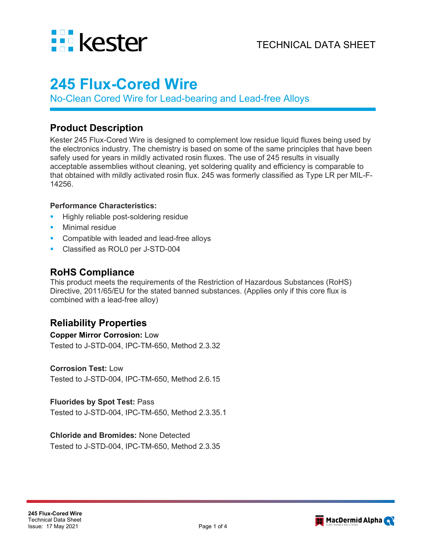

# **245 Flux-Cored Wire**

No-Clean Cored Wire for Lead-bearing and Lead-free Alloys

### **Product Description**

Kester 245 Flux-Cored Wire is designed to complement low residue liquid fluxes being used by the electronics industry. The chemistry is based on some of the same principles that have been safely used for years in mildly activated rosin fluxes. The use of 245 results in visually acceptable assemblies without cleaning, yet soldering quality and efficiency is comparable to that obtained with mildly activated rosin flux. 245 was formerly classified as Type LR per MIL-F-14256.

#### **Performance Characteristics:**

- Highly reliable post-soldering residue
- Minimal residue
- **Compatible with leaded and lead-free alloys**
- **Classified as ROL0 per J-STD-004**

### **RoHS Compliance**

This product meets the requirements of the Restriction of Hazardous Substances (RoHS) Directive, 2011/65/EU for the stated banned substances. (Applies only if this core flux is combined with a lead-free alloy)

### **Reliability Properties**

## **Copper Mirror Corrosion:** Low

Tested to J-STD-004, IPC-TM-650, Method 2.3.32

#### **Corrosion Test:** Low

Tested to J-STD-004, IPC-TM-650, Method 2.6.15

#### **Fluorides by Spot Test:** Pass

Tested to J-STD-004, IPC-TM-650, Method 2.3.35.1

#### **Chloride and Bromides:** None Detected

Tested to J-STD-004, IPC-TM-650, Method 2.3.35

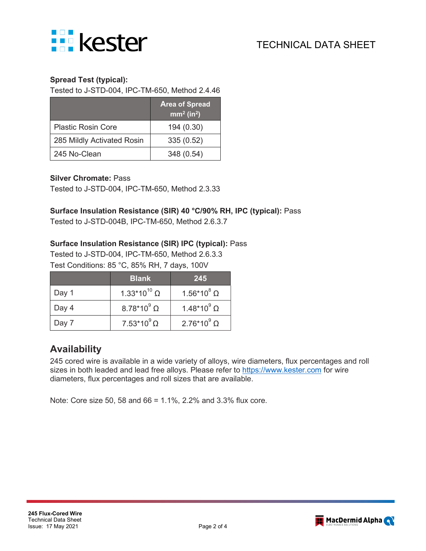

#### **Spread Test (typical):**

Tested to J-STD-004, IPC-TM-650, Method 2.4.46

|                            | <b>Area of Spread</b><br>mm <sup>2</sup> (in <sup>2</sup> ) |
|----------------------------|-------------------------------------------------------------|
| <b>Plastic Rosin Core</b>  | 194 (0.30)                                                  |
| 285 Mildly Activated Rosin | 335(0.52)                                                   |
| 245 No-Clean               | 348 (0.54)                                                  |

#### **Silver Chromate:** Pass

Tested to J-STD-004, IPC-TM-650, Method 2.3.33

#### **Surface Insulation Resistance (SIR) 40 °C/90% RH, IPC (typical):** Pass

Tested to J-STD-004B, IPC-TM-650, Method 2.6.3.7

#### **Surface Insulation Resistance (SIR) IPC (typical):** Pass

Tested to J-STD-004, IPC-TM-650, Method 2.6.3.3 Test Conditions: 85 °C, 85% RH, 7 days, 100V

|       | <b>Blank</b>                   | 245                  |
|-------|--------------------------------|----------------------|
| Day 1 | 1.33*10 <sup>10</sup> $\Omega$ | $1.56*10^8$ $\Omega$ |
| Day 4 | $8.78*10^9$ $\Omega$           | 1.48*10 $^{9}$ Ω     |
| Day 7 | $7.53*10^9$ $\Omega$           | $2.76*10^{9} \Omega$ |

### **Availability**

245 cored wire is available in a wide variety of alloys, wire diameters, flux percentages and roll sizes in both leaded and lead free alloys. Please refer to [https://www.kester.com](https://www.kester.com/) for wire diameters, flux percentages and roll sizes that are available.

Note: Core size 50, 58 and 66 = 1.1%, 2.2% and 3.3% flux core.

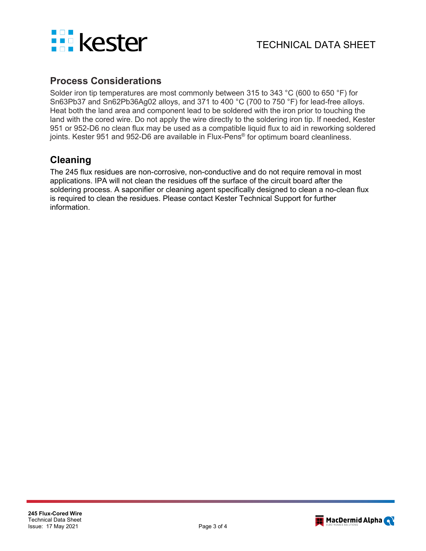

### **Process Considerations**

Solder iron tip temperatures are most commonly between 315 to 343 °C (600 to 650 °F) for Sn63Pb37 and Sn62Pb36Ag02 alloys, and 371 to 400 °C (700 to 750 °F) for lead-free alloys. Heat both the land area and component lead to be soldered with the iron prior to touching the land with the cored wire. Do not apply the wire directly to the soldering iron tip. If needed, Kester 951 or 952-D6 no clean flux may be used as a compatible liquid flux to aid in reworking soldered joints. Kester 951 and 952-D6 are available in Flux-Pens<sup>®</sup> for optimum board cleanliness.

### **Cleaning**

The 245 flux residues are non-corrosive, non-conductive and do not require removal in most applications. IPA will not clean the residues off the surface of the circuit board after the soldering process. A saponifier or cleaning agent specifically designed to clean a no-clean flux is required to clean the residues. Please contact Kester Technical Support for further information.